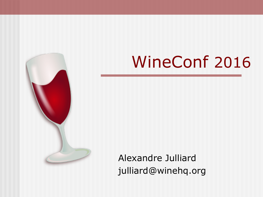

# WineConf 2016

Alexandre Julliard julliard@winehq.org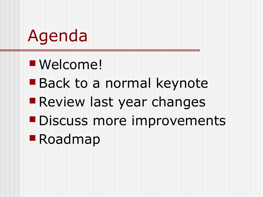# Agenda

- Welcome!
- **Back to a normal keynote**
- **Review last year changes**
- **Discuss more improvements**
- Roadmap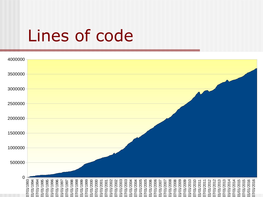#### Lines of code

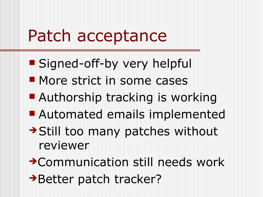#### Patch acceptance

- **Signed-off-by very helpful**
- **More strict in some cases**
- Authorship tracking is working
- Automated emails implemented
- → Still too many patches without reviewer
- ➔Communication still needs work
- → Better patch tracker?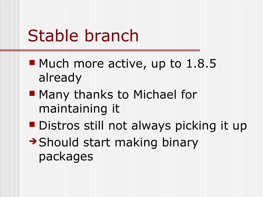## Stable branch

- Much more active, up to 1.8.5 already
- **Many thanks to Michael for** maintaining it
- **Distros still not always picking it up**
- ➔Should start making binary packages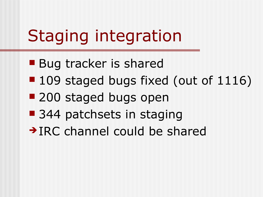# Staging integration

- **Bug tracker is shared**
- 109 staged bugs fixed (out of 1116)
- 200 staged bugs open
- 344 patchsets in staging
- ➔IRC channel could be shared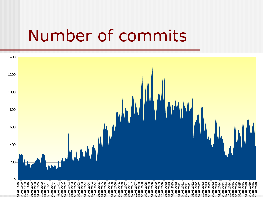#### Number of commits

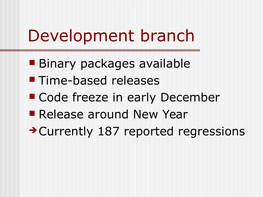## Development branch

- **Binary packages available**
- **Time-based releases**
- Code freeze in early December
- **Release around New Year**
- ➔Currently 187 reported regressions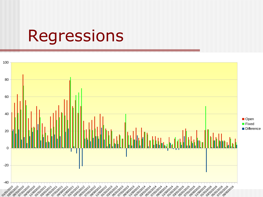#### Regressions

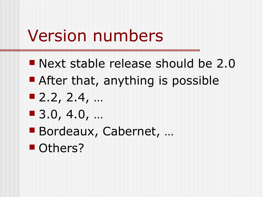## Version numbers

- **Next stable release should be 2.0**
- **After that, anything is possible**
- $\blacksquare$  2.2, 2.4, ...
- 3.0, 4.0, …
- Bordeaux, Cabernet, ...
- **Others?**